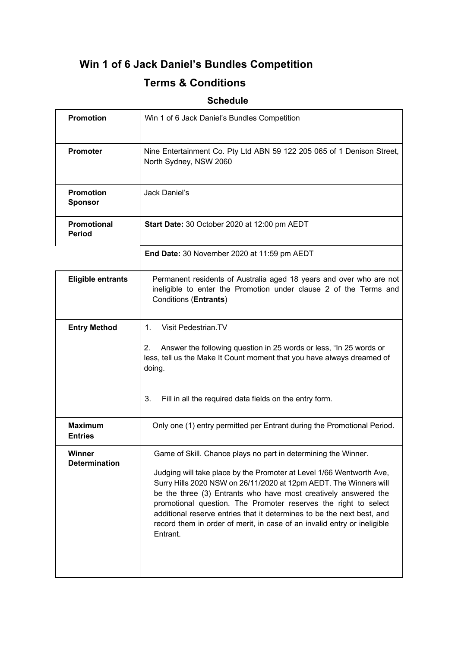# **Win 1 of 6 Jack Daniel's Bundles Competition**

# **Terms & Conditions**

# **Schedule**

| <b>Promotion</b>                   | Win 1 of 6 Jack Daniel's Bundles Competition                                                                                                                                                                                                                                                                                                                                                                                                                                                                        |
|------------------------------------|---------------------------------------------------------------------------------------------------------------------------------------------------------------------------------------------------------------------------------------------------------------------------------------------------------------------------------------------------------------------------------------------------------------------------------------------------------------------------------------------------------------------|
| <b>Promoter</b>                    | Nine Entertainment Co. Pty Ltd ABN 59 122 205 065 of 1 Denison Street,<br>North Sydney, NSW 2060                                                                                                                                                                                                                                                                                                                                                                                                                    |
| <b>Promotion</b><br><b>Sponsor</b> | Jack Daniel's                                                                                                                                                                                                                                                                                                                                                                                                                                                                                                       |
| Promotional<br><b>Period</b>       | Start Date: 30 October 2020 at 12:00 pm AEDT                                                                                                                                                                                                                                                                                                                                                                                                                                                                        |
|                                    | End Date: 30 November 2020 at 11:59 pm AEDT                                                                                                                                                                                                                                                                                                                                                                                                                                                                         |
| <b>Eligible entrants</b>           | Permanent residents of Australia aged 18 years and over who are not<br>ineligible to enter the Promotion under clause 2 of the Terms and<br>Conditions (Entrants)                                                                                                                                                                                                                                                                                                                                                   |
| <b>Entry Method</b>                | $1_{-}$<br>Visit Pedestrian.TV<br>Answer the following question in 25 words or less, "In 25 words or<br>2.<br>less, tell us the Make It Count moment that you have always dreamed of<br>doing.<br>Fill in all the required data fields on the entry form.<br>3.                                                                                                                                                                                                                                                     |
| <b>Maximum</b><br><b>Entries</b>   | Only one (1) entry permitted per Entrant during the Promotional Period.                                                                                                                                                                                                                                                                                                                                                                                                                                             |
| Winner<br><b>Determination</b>     | Game of Skill. Chance plays no part in determining the Winner.<br>Judging will take place by the Promoter at Level 1/66 Wentworth Ave,<br>Surry Hills 2020 NSW on 26/11/2020 at 12pm AEDT. The Winners will<br>be the three (3) Entrants who have most creatively answered the<br>promotional question. The Promoter reserves the right to select<br>additional reserve entries that it determines to be the next best, and<br>record them in order of merit, in case of an invalid entry or ineligible<br>Entrant. |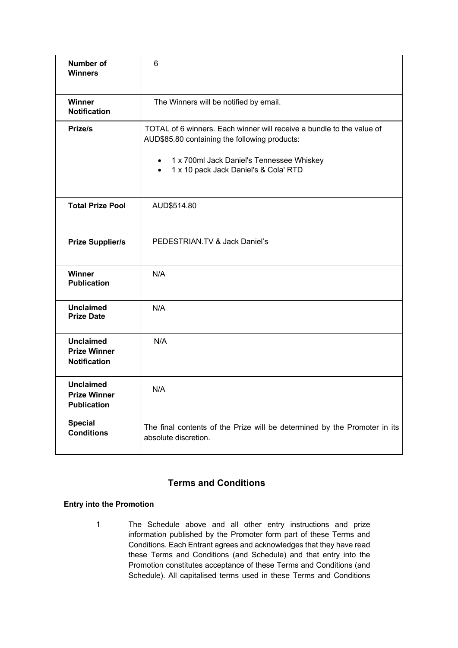| <b>Number of</b><br><b>Winners</b>                             | 6                                                                                                                                                                                                                           |
|----------------------------------------------------------------|-----------------------------------------------------------------------------------------------------------------------------------------------------------------------------------------------------------------------------|
| <b>Winner</b><br><b>Notification</b>                           | The Winners will be notified by email.                                                                                                                                                                                      |
| Prize/s                                                        | TOTAL of 6 winners. Each winner will receive a bundle to the value of<br>AUD\$85.80 containing the following products:<br>• 1 x 700ml Jack Daniel's Tennessee Whiskey<br>1 x 10 pack Jack Daniel's & Cola' RTD<br>$\bullet$ |
| <b>Total Prize Pool</b>                                        | AUD\$514.80                                                                                                                                                                                                                 |
| <b>Prize Supplier/s</b>                                        | PEDESTRIAN.TV & Jack Daniel's                                                                                                                                                                                               |
| Winner<br><b>Publication</b>                                   | N/A                                                                                                                                                                                                                         |
| <b>Unclaimed</b><br><b>Prize Date</b>                          | N/A                                                                                                                                                                                                                         |
| <b>Unclaimed</b><br><b>Prize Winner</b><br><b>Notification</b> | N/A                                                                                                                                                                                                                         |
| <b>Unclaimed</b><br><b>Prize Winner</b><br><b>Publication</b>  | N/A                                                                                                                                                                                                                         |
| <b>Special</b><br><b>Conditions</b>                            | The final contents of the Prize will be determined by the Promoter in its<br>absolute discretion.                                                                                                                           |

## **Terms and Conditions**

### **Entry into the Promotion**

1 The Schedule above and all other entry instructions and prize information published by the Promoter form part of these Terms and Conditions. Each Entrant agrees and acknowledges that they have read these Terms and Conditions (and Schedule) and that entry into the Promotion constitutes acceptance of these Terms and Conditions (and Schedule). All capitalised terms used in these Terms and Conditions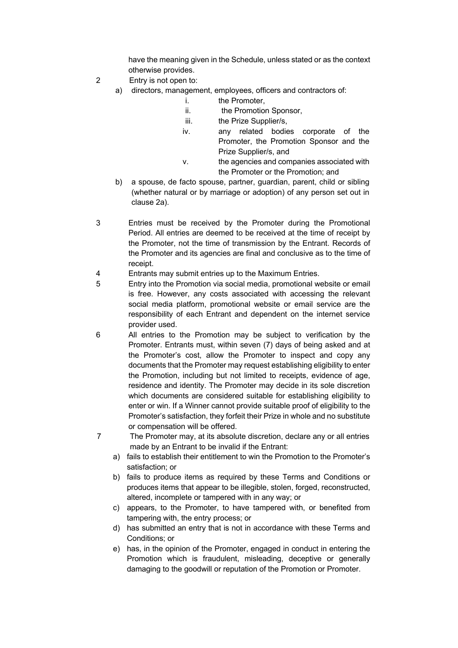have the meaning given in the Schedule, unless stated or as the context otherwise provides.

- 2 Entry is not open to:
	- a) directors, management, employees, officers and contractors of:
		- i. the Promoter,
		- ii. the Promotion Sponsor,
		- iii. the Prize Supplier/s,
		- iv. any related bodies corporate of the Promoter, the Promotion Sponsor and the Prize Supplier/s, and
		- v. the agencies and companies associated with the Promoter or the Promotion; and
	- b) a spouse, de facto spouse, partner, guardian, parent, child or sibling (whether natural or by marriage or adoption) of any person set out in clause 2a).
- 3 Entries must be received by the Promoter during the Promotional Period. All entries are deemed to be received at the time of receipt by the Promoter, not the time of transmission by the Entrant. Records of the Promoter and its agencies are final and conclusive as to the time of receipt.
- 4 Entrants may submit entries up to the Maximum Entries.
- 5 Entry into the Promotion via social media, promotional website or email is free. However, any costs associated with accessing the relevant social media platform, promotional website or email service are the responsibility of each Entrant and dependent on the internet service provider used.
- 6 All entries to the Promotion may be subject to verification by the Promoter. Entrants must, within seven (7) days of being asked and at the Promoter's cost, allow the Promoter to inspect and copy any documents that the Promoter may request establishing eligibility to enter the Promotion, including but not limited to receipts, evidence of age, residence and identity. The Promoter may decide in its sole discretion which documents are considered suitable for establishing eligibility to enter or win. If a Winner cannot provide suitable proof of eligibility to the Promoter's satisfaction, they forfeit their Prize in whole and no substitute or compensation will be offered.
- 7 The Promoter may, at its absolute discretion, declare any or all entries made by an Entrant to be invalid if the Entrant:
	- a) fails to establish their entitlement to win the Promotion to the Promoter's satisfaction; or
	- b) fails to produce items as required by these Terms and Conditions or produces items that appear to be illegible, stolen, forged, reconstructed, altered, incomplete or tampered with in any way; or
	- c) appears, to the Promoter, to have tampered with, or benefited from tampering with, the entry process; or
	- d) has submitted an entry that is not in accordance with these Terms and Conditions; or
	- e) has, in the opinion of the Promoter, engaged in conduct in entering the Promotion which is fraudulent, misleading, deceptive or generally damaging to the goodwill or reputation of the Promotion or Promoter.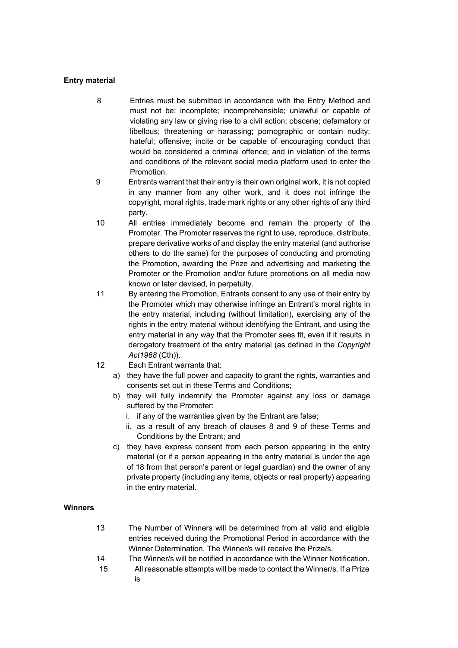#### **Entry material**

- 8 Entries must be submitted in accordance with the Entry Method and must not be: incomplete; incomprehensible; unlawful or capable of violating any law or giving rise to a civil action; obscene; defamatory or libellous; threatening or harassing; pornographic or contain nudity; hateful; offensive; incite or be capable of encouraging conduct that would be considered a criminal offence; and in violation of the terms and conditions of the relevant social media platform used to enter the Promotion.
- 9 Entrants warrant that their entry is their own original work, it is not copied in any manner from any other work, and it does not infringe the copyright, moral rights, trade mark rights or any other rights of any third party.
- 10 All entries immediately become and remain the property of the Promoter. The Promoter reserves the right to use, reproduce, distribute, prepare derivative works of and display the entry material (and authorise others to do the same) for the purposes of conducting and promoting the Promotion, awarding the Prize and advertising and marketing the Promoter or the Promotion and/or future promotions on all media now known or later devised, in perpetuity.
- 11 By entering the Promotion, Entrants consent to any use of their entry by the Promoter which may otherwise infringe an Entrant's moral rights in the entry material, including (without limitation), exercising any of the rights in the entry material without identifying the Entrant, and using the entry material in any way that the Promoter sees fit, even if it results in derogatory treatment of the entry material (as defined in the *Copyright Act1968* (Cth)).
- 12 Each Entrant warrants that:
	- a) they have the full power and capacity to grant the rights, warranties and consents set out in these Terms and Conditions;
	- b) they will fully indemnify the Promoter against any loss or damage suffered by the Promoter:
		- i. if any of the warranties given by the Entrant are false;
		- ii. as a result of any breach of clauses 8 and 9 of these Terms and Conditions by the Entrant; and
	- c) they have express consent from each person appearing in the entry material (or if a person appearing in the entry material is under the age of 18 from that person's parent or legal guardian) and the owner of any private property (including any items, objects or real property) appearing in the entry material.

#### **Winners**

- 13 The Number of Winners will be determined from all valid and eligible entries received during the Promotional Period in accordance with the Winner Determination. The Winner/s will receive the Prize/s.
- 14 The Winner/s will be notified in accordance with the Winner Notification.
- 15 All reasonable attempts will be made to contact the Winner/s. If a Prize is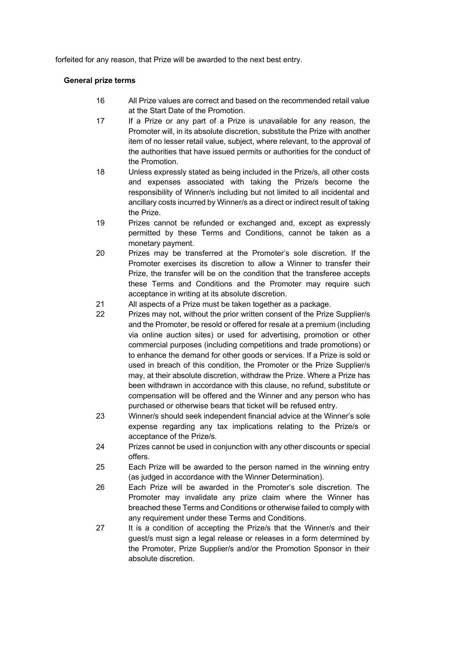forfeited for any reason, that Prize will be awarded to the next best entry.

#### **General prize terms**

- 16 All Prize values are correct and based on the recommended retail value at the Start Date of the Promotion.
- 17 If a Prize or any part of a Prize is unavailable for any reason, the Promoter will, in its absolute discretion, substitute the Prize with another item of no lesser retail value, subject, where relevant, to the approval of the authorities that have issued permits or authorities for the conduct of the Promotion.
- 18 Unless expressly stated as being included in the Prize/s, all other costs and expenses associated with taking the Prize/s become the responsibility of Winner/s including but not limited to all incidental and ancillary costs incurred by Winner/s as a direct or indirect result of taking the Prize.
- 19 Prizes cannot be refunded or exchanged and, except as expressly permitted by these Terms and Conditions, cannot be taken as a monetary payment.
- 20 Prizes may be transferred at the Promoter's sole discretion. If the Promoter exercises its discretion to allow a Winner to transfer their Prize, the transfer will be on the condition that the transferee accepts these Terms and Conditions and the Promoter may require such acceptance in writing at its absolute discretion.
- 21 All aspects of a Prize must be taken together as a package.
- 22 Prizes may not, without the prior written consent of the Prize Supplier/s and the Promoter, be resold or offered for resale at a premium (including via online auction sites) or used for advertising, promotion or other commercial purposes (including competitions and trade promotions) or to enhance the demand for other goods or services. If a Prize is sold or used in breach of this condition, the Promoter or the Prize Supplier/s may, at their absolute discretion, withdraw the Prize. Where a Prize has been withdrawn in accordance with this clause, no refund, substitute or compensation will be offered and the Winner and any person who has purchased or otherwise bears that ticket will be refused entry.
- 23 Winner/s should seek independent financial advice at the Winner's sole expense regarding any tax implications relating to the Prize/s or acceptance of the Prize/s.
- 24 Prizes cannot be used in conjunction with any other discounts or special offers.
- 25 Each Prize will be awarded to the person named in the winning entry (as judged in accordance with the Winner Determination).
- 26 Each Prize will be awarded in the Promoter's sole discretion. The Promoter may invalidate any prize claim where the Winner has breached these Terms and Conditions or otherwise failed to comply with any requirement under these Terms and Conditions.
- 27 It is a condition of accepting the Prize/s that the Winner/s and their guest/s must sign a legal release or releases in a form determined by the Promoter, Prize Supplier/s and/or the Promotion Sponsor in their absolute discretion.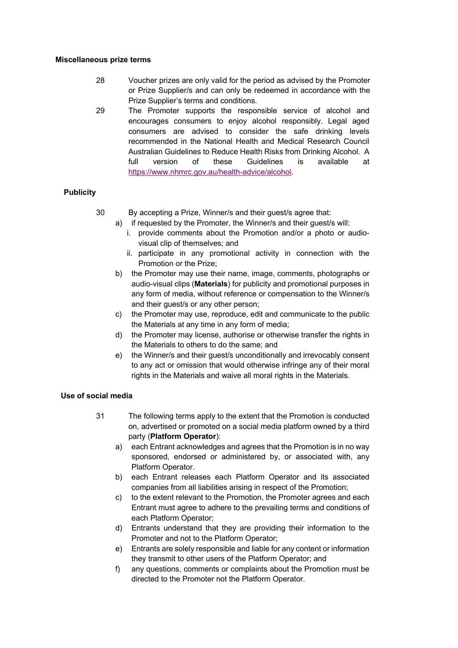#### **Miscellaneous prize terms**

- 28 Voucher prizes are only valid for the period as advised by the Promoter or Prize Supplier/s and can only be redeemed in accordance with the Prize Supplier's terms and conditions.
- 29 The Promoter supports the responsible service of alcohol and encourages consumers to enjoy alcohol responsibly. Legal aged consumers are advised to consider the safe drinking levels recommended in the National Health and Medical Research Council Australian Guidelines to Reduce Health Risks from Drinking Alcohol. A full version of these Guidelines is available at https://www.nhmrc.gov.au/health-advice/alcohol.

#### **Publicity**

- 30 By accepting a Prize, Winner/s and their guest/s agree that:
	- a) if requested by the Promoter, the Winner/s and their guest/s will:
		- i. provide comments about the Promotion and/or a photo or audiovisual clip of themselves; and
		- ii. participate in any promotional activity in connection with the Promotion or the Prize;
	- b) the Promoter may use their name, image, comments, photographs or audio-visual clips (**Materials**) for publicity and promotional purposes in any form of media, without reference or compensation to the Winner/s and their guest/s or any other person;
	- c) the Promoter may use, reproduce, edit and communicate to the public the Materials at any time in any form of media;
	- d) the Promoter may license, authorise or otherwise transfer the rights in the Materials to others to do the same; and
	- e) the Winner/s and their guest/s unconditionally and irrevocably consent to any act or omission that would otherwise infringe any of their moral rights in the Materials and waive all moral rights in the Materials.

#### **Use of social media**

- 31 The following terms apply to the extent that the Promotion is conducted on, advertised or promoted on a social media platform owned by a third party (**Platform Operator**):
	- a) each Entrant acknowledges and agrees that the Promotion is in no way sponsored, endorsed or administered by, or associated with, any Platform Operator.
	- b) each Entrant releases each Platform Operator and its associated companies from all liabilities arising in respect of the Promotion;
	- c) to the extent relevant to the Promotion, the Promoter agrees and each Entrant must agree to adhere to the prevailing terms and conditions of each Platform Operator;
	- d) Entrants understand that they are providing their information to the Promoter and not to the Platform Operator;
	- e) Entrants are solely responsible and liable for any content or information they transmit to other users of the Platform Operator; and
	- f) any questions, comments or complaints about the Promotion must be directed to the Promoter not the Platform Operator.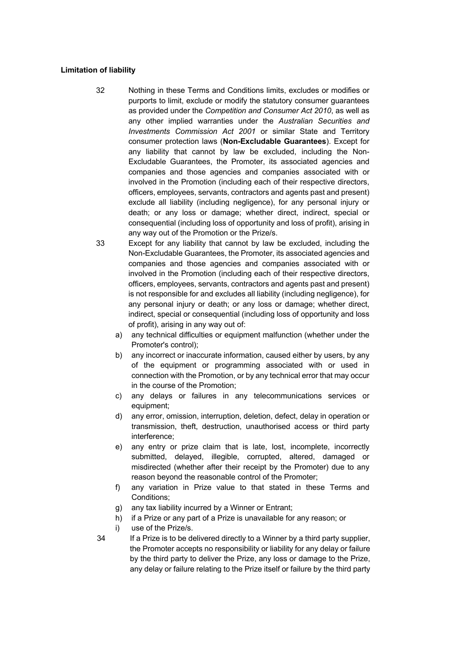#### **Limitation of liability**

- 32 Nothing in these Terms and Conditions limits, excludes or modifies or purports to limit, exclude or modify the statutory consumer guarantees as provided under the *Competition and Consumer Act 2010*, as well as any other implied warranties under the *Australian Securities and Investments Commission Act 2001* or similar State and Territory consumer protection laws (**Non-Excludable Guarantees**). Except for any liability that cannot by law be excluded, including the Non-Excludable Guarantees, the Promoter, its associated agencies and companies and those agencies and companies associated with or involved in the Promotion (including each of their respective directors, officers, employees, servants, contractors and agents past and present) exclude all liability (including negligence), for any personal injury or death; or any loss or damage; whether direct, indirect, special or consequential (including loss of opportunity and loss of profit), arising in any way out of the Promotion or the Prize/s.
- 33 Except for any liability that cannot by law be excluded, including the Non-Excludable Guarantees, the Promoter, its associated agencies and companies and those agencies and companies associated with or involved in the Promotion (including each of their respective directors, officers, employees, servants, contractors and agents past and present) is not responsible for and excludes all liability (including negligence), for any personal injury or death; or any loss or damage; whether direct, indirect, special or consequential (including loss of opportunity and loss of profit), arising in any way out of:
	- a) any technical difficulties or equipment malfunction (whether under the Promoter's control);
	- b) any incorrect or inaccurate information, caused either by users, by any of the equipment or programming associated with or used in connection with the Promotion, or by any technical error that may occur in the course of the Promotion;
	- c) any delays or failures in any telecommunications services or equipment;
	- d) any error, omission, interruption, deletion, defect, delay in operation or transmission, theft, destruction, unauthorised access or third party interference;
	- e) any entry or prize claim that is late, lost, incomplete, incorrectly submitted, delayed, illegible, corrupted, altered, damaged or misdirected (whether after their receipt by the Promoter) due to any reason beyond the reasonable control of the Promoter;
	- f) any variation in Prize value to that stated in these Terms and Conditions;
	- g) any tax liability incurred by a Winner or Entrant;
	- h) if a Prize or any part of a Prize is unavailable for any reason; or
	- i) use of the Prize/s.
- 34 If a Prize is to be delivered directly to a Winner by a third party supplier, the Promoter accepts no responsibility or liability for any delay or failure by the third party to deliver the Prize, any loss or damage to the Prize, any delay or failure relating to the Prize itself or failure by the third party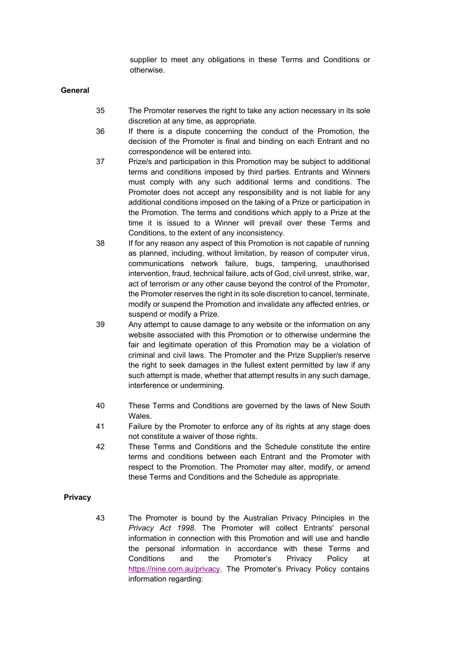supplier to meet any obligations in these Terms and Conditions or otherwise.

**General**

- 35 The Promoter reserves the right to take any action necessary in its sole discretion at any time, as appropriate.
- 36 If there is a dispute concerning the conduct of the Promotion, the decision of the Promoter is final and binding on each Entrant and no correspondence will be entered into.
- 37 Prize/s and participation in this Promotion may be subject to additional terms and conditions imposed by third parties. Entrants and Winners must comply with any such additional terms and conditions. The Promoter does not accept any responsibility and is not liable for any additional conditions imposed on the taking of a Prize or participation in the Promotion. The terms and conditions which apply to a Prize at the time it is issued to a Winner will prevail over these Terms and Conditions, to the extent of any inconsistency.
- 38 If for any reason any aspect of this Promotion is not capable of running as planned, including, without limitation, by reason of computer virus, communications network failure, bugs, tampering, unauthorised intervention, fraud, technical failure, acts of God, civil unrest, strike, war, act of terrorism or any other cause beyond the control of the Promoter, the Promoter reserves the right in its sole discretion to cancel, terminate, modify or suspend the Promotion and invalidate any affected entries, or suspend or modify a Prize.
- 39 Any attempt to cause damage to any website or the information on any website associated with this Promotion or to otherwise undermine the fair and legitimate operation of this Promotion may be a violation of criminal and civil laws. The Promoter and the Prize Supplier/s reserve the right to seek damages in the fullest extent permitted by law if any such attempt is made, whether that attempt results in any such damage, interference or undermining.
- 40 These Terms and Conditions are governed by the laws of New South Wales.
- 41 Failure by the Promoter to enforce any of its rights at any stage does not constitute a waiver of those rights.
- 42 These Terms and Conditions and the Schedule constitute the entire terms and conditions between each Entrant and the Promoter with respect to the Promotion. The Promoter may alter, modify, or amend these Terms and Conditions and the Schedule as appropriate.

#### **Privacy**

43 The Promoter is bound by the Australian Privacy Principles in the *Privacy Act 1998*. The Promoter will collect Entrants' personal information in connection with this Promotion and will use and handle the personal information in accordance with these Terms and Conditions and the Promoter's Privacy Policy at https://nine.com.au/privacy. The Promoter's Privacy Policy contains information regarding: